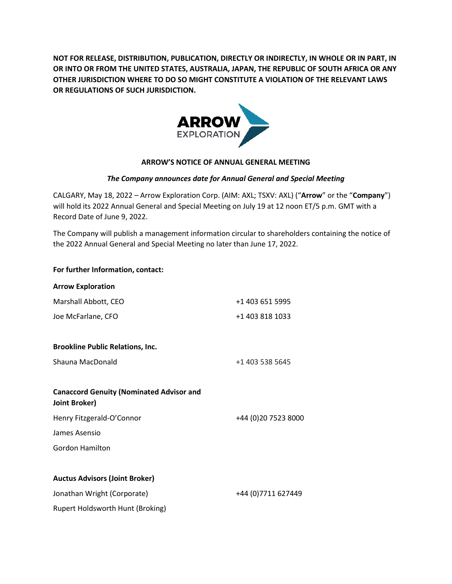**NOT FOR RELEASE, DISTRIBUTION, PUBLICATION, DIRECTLY OR INDIRECTLY, IN WHOLE OR IN PART, IN OR INTO OR FROM THE UNITED STATES, AUSTRALIA, JAPAN, THE REPUBLIC OF SOUTH AFRICA OR ANY OTHER JURISDICTION WHERE TO DO SO MIGHT CONSTITUTE A VIOLATION OF THE RELEVANT LAWS OR REGULATIONS OF SUCH JURISDICTION.**



## **ARROW'S NOTICE OF ANNUAL GENERAL MEETING**

## *The Company announces date for Annual General and Special Meeting*

CALGARY, May 18, 2022 – Arrow Exploration Corp. (AIM: AXL; TSXV: AXL) ("**Arrow**" or the "**Company**") will hold its 2022 Annual General and Special Meeting on July 19 at 12 noon ET/5 p.m. GMT with a Record Date of June 9, 2022.

The Company will publish a management information circular to shareholders containing the notice of the 2022 Annual General and Special Meeting no later than June 17, 2022.

| For further Information, contact:                                |                      |
|------------------------------------------------------------------|----------------------|
| <b>Arrow Exploration</b>                                         |                      |
| Marshall Abbott, CEO                                             | +1 403 651 5995      |
| Joe McFarlane, CFO                                               | +1 403 818 1033      |
| <b>Brookline Public Relations, Inc.</b>                          |                      |
| Shauna MacDonald                                                 | +1 403 538 5645      |
| <b>Canaccord Genuity (Nominated Advisor and</b><br>Joint Broker) |                      |
| Henry Fitzgerald-O'Connor                                        | +44 (0) 20 7523 8000 |
| James Asensio                                                    |                      |
| <b>Gordon Hamilton</b>                                           |                      |
| <b>Auctus Advisors (Joint Broker)</b>                            |                      |
| Jonathan Wright (Corporate)                                      | +44 (0) 7711 627449  |
| Rupert Holdsworth Hunt (Broking)                                 |                      |